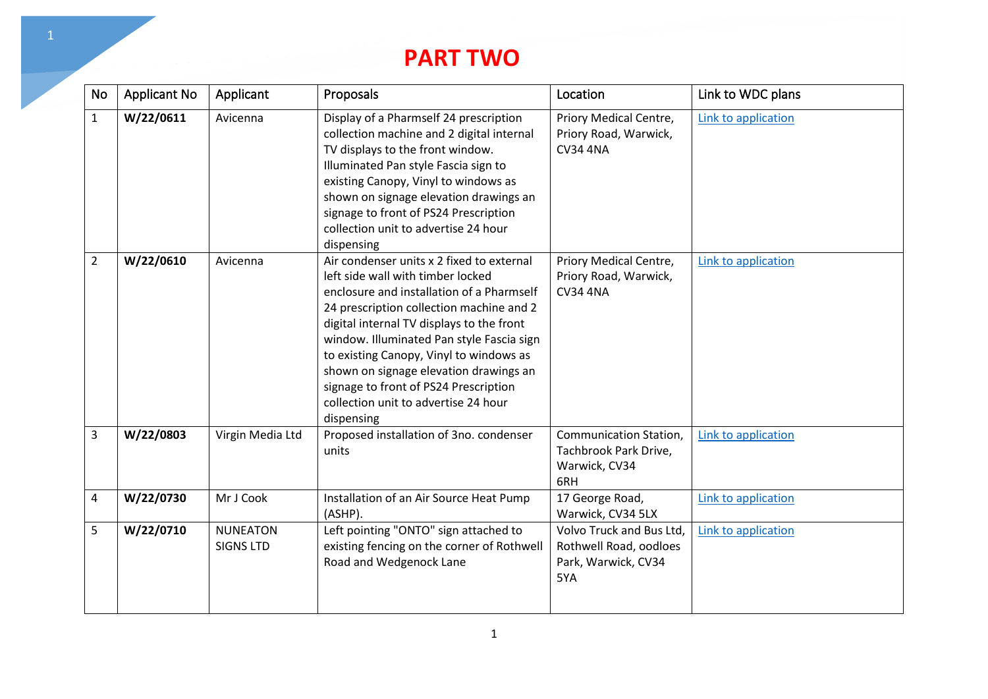## **PART TWO**

| No             | <b>Applicant No</b> | Applicant                           | Proposals                                                                                                                                                                                                                                                                                                                                                                                                                                             | Location                                                                         | Link to WDC plans   |
|----------------|---------------------|-------------------------------------|-------------------------------------------------------------------------------------------------------------------------------------------------------------------------------------------------------------------------------------------------------------------------------------------------------------------------------------------------------------------------------------------------------------------------------------------------------|----------------------------------------------------------------------------------|---------------------|
| $\mathbf{1}$   | W/22/0611           | Avicenna                            | Display of a Pharmself 24 prescription<br>collection machine and 2 digital internal<br>TV displays to the front window.<br>Illuminated Pan style Fascia sign to<br>existing Canopy, Vinyl to windows as<br>shown on signage elevation drawings an<br>signage to front of PS24 Prescription<br>collection unit to advertise 24 hour<br>dispensing                                                                                                      | Priory Medical Centre,<br>Priory Road, Warwick,<br><b>CV34 4NA</b>               | Link to application |
| $\overline{2}$ | W/22/0610           | Avicenna                            | Air condenser units x 2 fixed to external<br>left side wall with timber locked<br>enclosure and installation of a Pharmself<br>24 prescription collection machine and 2<br>digital internal TV displays to the front<br>window. Illuminated Pan style Fascia sign<br>to existing Canopy, Vinyl to windows as<br>shown on signage elevation drawings an<br>signage to front of PS24 Prescription<br>collection unit to advertise 24 hour<br>dispensing | Priory Medical Centre,<br>Priory Road, Warwick,<br><b>CV34 4NA</b>               | Link to application |
| 3              | W/22/0803           | Virgin Media Ltd                    | Proposed installation of 3no. condenser<br>units                                                                                                                                                                                                                                                                                                                                                                                                      | Communication Station,<br>Tachbrook Park Drive,<br>Warwick, CV34<br>6RH          | Link to application |
| 4              | W/22/0730           | Mr J Cook                           | Installation of an Air Source Heat Pump<br>(ASHP).                                                                                                                                                                                                                                                                                                                                                                                                    | 17 George Road,<br>Warwick, CV34 5LX                                             | Link to application |
| 5              | W/22/0710           | <b>NUNEATON</b><br><b>SIGNS LTD</b> | Left pointing "ONTO" sign attached to<br>existing fencing on the corner of Rothwell<br>Road and Wedgenock Lane                                                                                                                                                                                                                                                                                                                                        | Volvo Truck and Bus Ltd,<br>Rothwell Road, oodloes<br>Park, Warwick, CV34<br>5YA | Link to application |